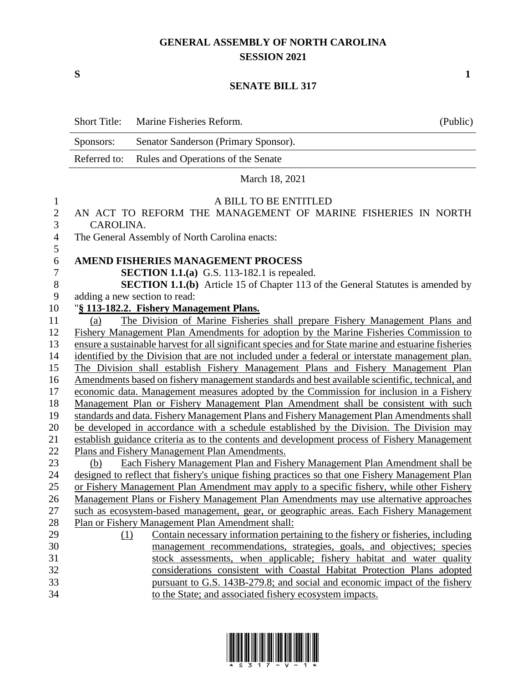### **GENERAL ASSEMBLY OF NORTH CAROLINA SESSION 2021**

**S 1**

### **SENATE BILL 317**

|                  | <b>Short Title:</b> | Marine Fisheries Reform.                                                                              | (Public) |
|------------------|---------------------|-------------------------------------------------------------------------------------------------------|----------|
|                  | Sponsors:           | Senator Sanderson (Primary Sponsor).                                                                  |          |
|                  | Referred to:        | Rules and Operations of the Senate                                                                    |          |
|                  |                     | March 18, 2021                                                                                        |          |
| $\mathbf{1}$     |                     | A BILL TO BE ENTITLED                                                                                 |          |
| $\overline{2}$   |                     | AN ACT TO REFORM THE MANAGEMENT OF MARINE FISHERIES IN NORTH                                          |          |
| 3                | CAROLINA.           |                                                                                                       |          |
| $\overline{4}$   |                     | The General Assembly of North Carolina enacts:                                                        |          |
| 5                |                     |                                                                                                       |          |
| $\boldsymbol{6}$ |                     | <b>AMEND FISHERIES MANAGEMENT PROCESS</b>                                                             |          |
| $\overline{7}$   |                     | <b>SECTION 1.1.(a)</b> G.S. 113-182.1 is repealed.                                                    |          |
| 8                |                     | <b>SECTION 1.1.(b)</b> Article 15 of Chapter 113 of the General Statutes is amended by                |          |
| 9                |                     | adding a new section to read:                                                                         |          |
| 10               |                     | "§ 113-182.2. Fishery Management Plans.                                                               |          |
| 11               | (a)                 | The Division of Marine Fisheries shall prepare Fishery Management Plans and                           |          |
| 12               |                     | Fishery Management Plan Amendments for adoption by the Marine Fisheries Commission to                 |          |
| 13               |                     | ensure a sustainable harvest for all significant species and for State marine and estuarine fisheries |          |
| 14               |                     | identified by the Division that are not included under a federal or interstate management plan.       |          |
| 15               |                     | The Division shall establish Fishery Management Plans and Fishery Management Plan                     |          |
| 16               |                     | Amendments based on fishery management standards and best available scientific, technical, and        |          |
| 17               |                     | economic data. Management measures adopted by the Commission for inclusion in a Fishery               |          |
| 18               |                     | Management Plan or Fishery Management Plan Amendment shall be consistent with such                    |          |
| 19               |                     | standards and data. Fishery Management Plans and Fishery Management Plan Amendments shall             |          |
| 20               |                     | be developed in accordance with a schedule established by the Division. The Division may              |          |
| 21               |                     | establish guidance criteria as to the contents and development process of Fishery Management          |          |
| 22               |                     | Plans and Fishery Management Plan Amendments.                                                         |          |
| 23               | (b)                 | Each Fishery Management Plan and Fishery Management Plan Amendment shall be                           |          |
| 24               |                     | designed to reflect that fishery's unique fishing practices so that one Fishery Management Plan       |          |
| 25               |                     | or Fishery Management Plan Amendment may apply to a specific fishery, while other Fishery             |          |
| 26               |                     | Management Plans or Fishery Management Plan Amendments may use alternative approaches                 |          |
| 27               |                     | such as ecosystem-based management, gear, or geographic areas. Each Fishery Management                |          |
| 28               |                     | Plan or Fishery Management Plan Amendment shall:                                                      |          |
| 29               | (1)                 | Contain necessary information pertaining to the fishery or fisheries, including                       |          |
| 30               |                     | management recommendations, strategies, goals, and objectives; species                                |          |
| 31               |                     | stock assessments, when applicable; fishery habitat and water quality                                 |          |
| 32               |                     | considerations consistent with Coastal Habitat Protection Plans adopted                               |          |
| 33               |                     | pursuant to G.S. 143B-279.8; and social and economic impact of the fishery                            |          |
| 34               |                     | to the State; and associated fishery ecosystem impacts.                                               |          |

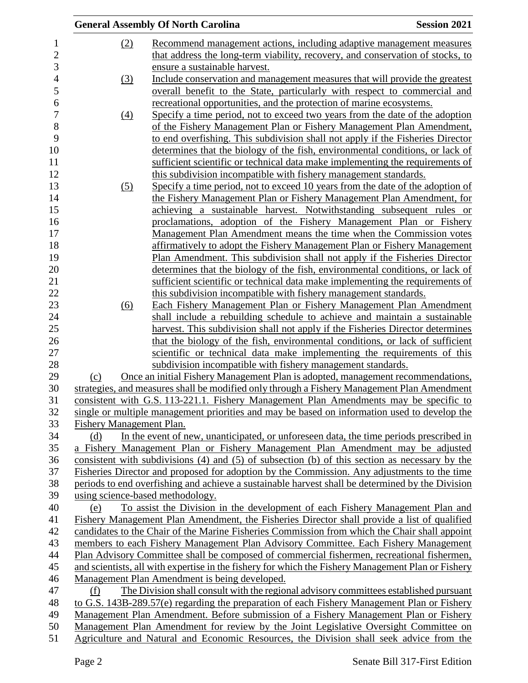|                          | <b>General Assembly Of North Carolina</b>                                                          | <b>Session 2021</b> |
|--------------------------|----------------------------------------------------------------------------------------------------|---------------------|
| (2)                      | Recommend management actions, including adaptive management measures                               |                     |
|                          | that address the long-term viability, recovery, and conservation of stocks, to                     |                     |
|                          | ensure a sustainable harvest.                                                                      |                     |
| (3)                      | Include conservation and management measures that will provide the greatest                        |                     |
|                          | overall benefit to the State, particularly with respect to commercial and                          |                     |
|                          | recreational opportunities, and the protection of marine ecosystems.                               |                     |
| $\left(4\right)$         | Specify a time period, not to exceed two years from the date of the adoption                       |                     |
|                          | of the Fishery Management Plan or Fishery Management Plan Amendment,                               |                     |
|                          | to end overfishing. This subdivision shall not apply if the Fisheries Director                     |                     |
|                          | determines that the biology of the fish, environmental conditions, or lack of                      |                     |
|                          | sufficient scientific or technical data make implementing the requirements of                      |                     |
|                          | this subdivision incompatible with fishery management standards.                                   |                     |
| (5)                      | Specify a time period, not to exceed 10 years from the date of the adoption of                     |                     |
|                          | the Fishery Management Plan or Fishery Management Plan Amendment, for                              |                     |
|                          | achieving a sustainable harvest. Notwithstanding subsequent rules or                               |                     |
|                          | proclamations, adoption of the Fishery Management Plan or Fishery                                  |                     |
|                          | Management Plan Amendment means the time when the Commission votes                                 |                     |
|                          | affirmatively to adopt the Fishery Management Plan or Fishery Management                           |                     |
|                          | Plan Amendment. This subdivision shall not apply if the Fisheries Director                         |                     |
|                          | determines that the biology of the fish, environmental conditions, or lack of                      |                     |
|                          | sufficient scientific or technical data make implementing the requirements of                      |                     |
|                          | this subdivision incompatible with fishery management standards.                                   |                     |
| (6)                      | <b>Each Fishery Management Plan or Fishery Management Plan Amendment</b>                           |                     |
|                          | shall include a rebuilding schedule to achieve and maintain a sustainable                          |                     |
|                          | harvest. This subdivision shall not apply if the Fisheries Director determines                     |                     |
|                          | that the biology of the fish, environmental conditions, or lack of sufficient                      |                     |
|                          | scientific or technical data make implementing the requirements of this                            |                     |
|                          | subdivision incompatible with fishery management standards.                                        |                     |
| (c)                      | Once an initial Fishery Management Plan is adopted, management recommendations,                    |                     |
|                          | strategies, and measures shall be modified only through a Fishery Management Plan Amendment        |                     |
|                          | consistent with G.S. 113-221.1. Fishery Management Plan Amendments may be specific to              |                     |
|                          | single or multiple management priorities and may be based on information used to develop the       |                     |
| Fishery Management Plan. |                                                                                                    |                     |
| (d)                      | In the event of new, unanticipated, or unforeseen data, the time periods prescribed in             |                     |
|                          | a Fishery Management Plan or Fishery Management Plan Amendment may be adjusted                     |                     |
|                          | consistent with subdivisions (4) and (5) of subsection (b) of this section as necessary by the     |                     |
|                          | Fisheries Director and proposed for adoption by the Commission. Any adjustments to the time        |                     |
|                          | periods to end overfishing and achieve a sustainable harvest shall be determined by the Division   |                     |
|                          | using science-based methodology.                                                                   |                     |
| (e)                      | To assist the Division in the development of each Fishery Management Plan and                      |                     |
|                          | Fishery Management Plan Amendment, the Fisheries Director shall provide a list of qualified        |                     |
|                          | candidates to the Chair of the Marine Fisheries Commission from which the Chair shall appoint      |                     |
|                          | members to each Fishery Management Plan Advisory Committee. Each Fishery Management                |                     |
|                          | Plan Advisory Committee shall be composed of commercial fishermen, recreational fishermen,         |                     |
|                          | and scientists, all with expertise in the fishery for which the Fishery Management Plan or Fishery |                     |
|                          | Management Plan Amendment is being developed.                                                      |                     |
| (f)                      | The Division shall consult with the regional advisory committees established pursuant              |                     |
|                          | to G.S. 143B-289.57(e) regarding the preparation of each Fishery Management Plan or Fishery        |                     |
|                          | Management Plan Amendment. Before submission of a Fishery Management Plan or Fishery               |                     |
|                          | Management Plan Amendment for review by the Joint Legislative Oversight Committee on               |                     |
|                          | Agriculture and Natural and Economic Resources, the Division shall seek advice from the            |                     |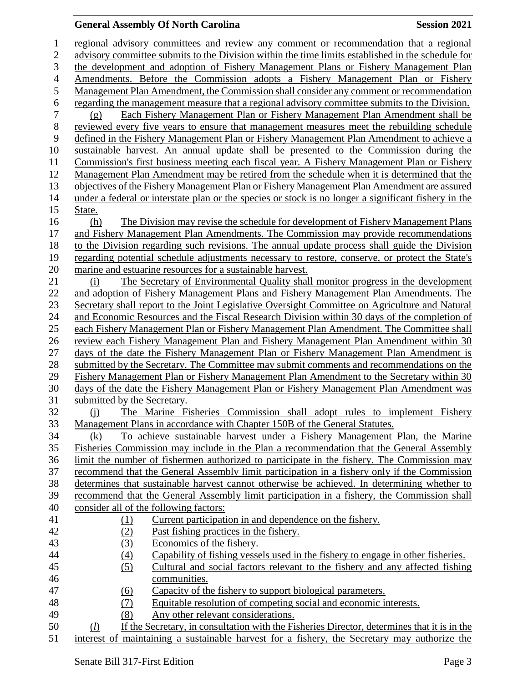| $\mathbf{1}$   | regional advisory committees and review any comment or recommendation that a regional                |
|----------------|------------------------------------------------------------------------------------------------------|
| $\overline{2}$ | advisory committee submits to the Division within the time limits established in the schedule for    |
| 3              | the development and adoption of Fishery Management Plans or Fishery Management Plan                  |
| $\overline{4}$ | Amendments. Before the Commission adopts a Fishery Management Plan or Fishery                        |
| 5              | Management Plan Amendment, the Commission shall consider any comment or recommendation               |
| 6              | regarding the management measure that a regional advisory committee submits to the Division.         |
| 7              |                                                                                                      |
|                | Each Fishery Management Plan or Fishery Management Plan Amendment shall be<br>(g)                    |
| $8\,$          | reviewed every five years to ensure that management measures meet the rebuilding schedule            |
| 9              | defined in the Fishery Management Plan or Fishery Management Plan Amendment to achieve a             |
| 10             | sustainable harvest. An annual update shall be presented to the Commission during the                |
| 11             | Commission's first business meeting each fiscal year. A Fishery Management Plan or Fishery           |
| 12             | Management Plan Amendment may be retired from the schedule when it is determined that the            |
| 13             | objectives of the Fishery Management Plan or Fishery Management Plan Amendment are assured           |
| 14             | under a federal or interstate plan or the species or stock is no longer a significant fishery in the |
| 15             | State.                                                                                               |
| 16             | The Division may revise the schedule for development of Fishery Management Plans<br>(h)              |
| 17             | and Fishery Management Plan Amendments. The Commission may provide recommendations                   |
| 18             | to the Division regarding such revisions. The annual update process shall guide the Division         |
| 19             | regarding potential schedule adjustments necessary to restore, conserve, or protect the State's      |
| 20             | marine and estuarine resources for a sustainable harvest.                                            |
| 21             | The Secretary of Environmental Quality shall monitor progress in the development<br>(i)              |
| 22             | and adoption of Fishery Management Plans and Fishery Management Plan Amendments. The                 |
| 23             | Secretary shall report to the Joint Legislative Oversight Committee on Agriculture and Natural       |
| 24             | and Economic Resources and the Fiscal Research Division within 30 days of the completion of          |
| 25             | each Fishery Management Plan or Fishery Management Plan Amendment. The Committee shall               |
| 26             | review each Fishery Management Plan and Fishery Management Plan Amendment within 30                  |
| 27             | days of the date the Fishery Management Plan or Fishery Management Plan Amendment is                 |
| 28             | submitted by the Secretary. The Committee may submit comments and recommendations on the             |
| 29             | Fishery Management Plan or Fishery Management Plan Amendment to the Secretary within 30              |
| 30             | days of the date the Fishery Management Plan or Fishery Management Plan Amendment was                |
| 31             | submitted by the Secretary.                                                                          |
| 32             | The Marine Fisheries Commission shall adopt rules to implement Fishery<br>$\Omega$                   |
| 33             | Management Plans in accordance with Chapter 150B of the General Statutes.                            |
| 34             | To achieve sustainable harvest under a Fishery Management Plan, the Marine<br>(k)                    |
| 35             | Fisheries Commission may include in the Plan a recommendation that the General Assembly              |
| 36             | limit the number of fishermen authorized to participate in the fishery. The Commission may           |
| 37             | recommend that the General Assembly limit participation in a fishery only if the Commission          |
| 38             | determines that sustainable harvest cannot otherwise be achieved. In determining whether to          |
| 39             | recommend that the General Assembly limit participation in a fishery, the Commission shall           |
| 40             | consider all of the following factors:                                                               |
| 41             | Current participation in and dependence on the fishery.<br>(1)                                       |
| 42             | Past fishing practices in the fishery.<br>(2)                                                        |
| 43             | Economics of the fishery.<br>(3)                                                                     |
| 44             | Capability of fishing vessels used in the fishery to engage in other fisheries.<br>$\left(4\right)$  |
| 45             | (5)<br>Cultural and social factors relevant to the fishery and any affected fishing                  |
| 46             | communities.                                                                                         |
| 47             | Capacity of the fishery to support biological parameters.<br><u>(6)</u>                              |
| 48             | (7)<br>Equitable resolution of competing social and economic interests.                              |
| 49             | (8)<br>Any other relevant considerations.                                                            |
| 50             | If the Secretary, in consultation with the Fisheries Director, determines that it is in the<br>(D)   |
| 51             | interest of maintaining a sustainable harvest for a fishery, the Secretary may authorize the         |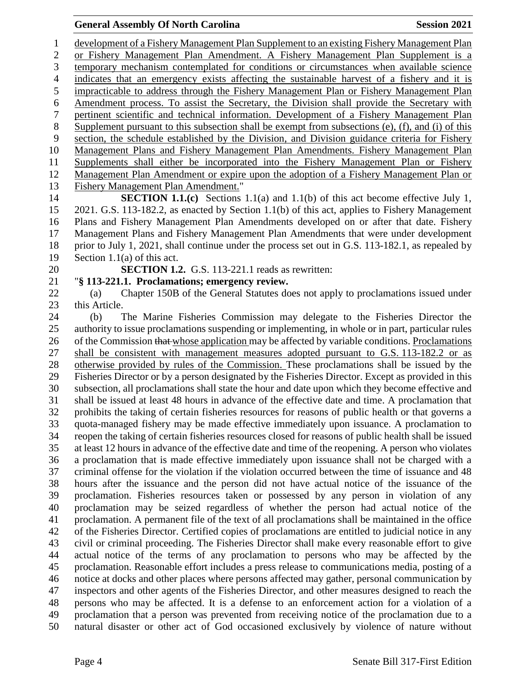development of a Fishery Management Plan Supplement to an existing Fishery Management Plan or Fishery Management Plan Amendment. A Fishery Management Plan Supplement is a temporary mechanism contemplated for conditions or circumstances when available science indicates that an emergency exists affecting the sustainable harvest of a fishery and it is impracticable to address through the Fishery Management Plan or Fishery Management Plan Amendment process. To assist the Secretary, the Division shall provide the Secretary with pertinent scientific and technical information. Development of a Fishery Management Plan Supplement pursuant to this subsection shall be exempt from subsections (e), (f), and (i) of this section, the schedule established by the Division, and Division guidance criteria for Fishery Management Plans and Fishery Management Plan Amendments. Fishery Management Plan Supplements shall either be incorporated into the Fishery Management Plan or Fishery Management Plan Amendment or expire upon the adoption of a Fishery Management Plan or Fishery Management Plan Amendment."

 **SECTION 1.1.(c)** Sections 1.1(a) and 1.1(b) of this act become effective July 1, 2021. G.S. 113-182.2, as enacted by Section 1.1(b) of this act, applies to Fishery Management Plans and Fishery Management Plan Amendments developed on or after that date. Fishery Management Plans and Fishery Management Plan Amendments that were under development prior to July 1, 2021, shall continue under the process set out in G.S. 113-182.1, as repealed by Section 1.1(a) of this act.

**SECTION 1.2.** G.S. 113-221.1 reads as rewritten:

"**§ 113-221.1. Proclamations; emergency review.**

 (a) Chapter 150B of the General Statutes does not apply to proclamations issued under this Article.

 (b) The Marine Fisheries Commission may delegate to the Fisheries Director the authority to issue proclamations suspending or implementing, in whole or in part, particular rules 26 of the Commission that whose application may be affected by variable conditions. Proclamations shall be consistent with management measures adopted pursuant to G.S. 113-182.2 or as otherwise provided by rules of the Commission. These proclamations shall be issued by the Fisheries Director or by a person designated by the Fisheries Director. Except as provided in this subsection, all proclamations shall state the hour and date upon which they become effective and shall be issued at least 48 hours in advance of the effective date and time. A proclamation that prohibits the taking of certain fisheries resources for reasons of public health or that governs a quota-managed fishery may be made effective immediately upon issuance. A proclamation to reopen the taking of certain fisheries resources closed for reasons of public health shall be issued at least 12 hours in advance of the effective date and time of the reopening. A person who violates a proclamation that is made effective immediately upon issuance shall not be charged with a criminal offense for the violation if the violation occurred between the time of issuance and 48 hours after the issuance and the person did not have actual notice of the issuance of the proclamation. Fisheries resources taken or possessed by any person in violation of any proclamation may be seized regardless of whether the person had actual notice of the proclamation. A permanent file of the text of all proclamations shall be maintained in the office of the Fisheries Director. Certified copies of proclamations are entitled to judicial notice in any civil or criminal proceeding. The Fisheries Director shall make every reasonable effort to give actual notice of the terms of any proclamation to persons who may be affected by the proclamation. Reasonable effort includes a press release to communications media, posting of a notice at docks and other places where persons affected may gather, personal communication by inspectors and other agents of the Fisheries Director, and other measures designed to reach the persons who may be affected. It is a defense to an enforcement action for a violation of a proclamation that a person was prevented from receiving notice of the proclamation due to a natural disaster or other act of God occasioned exclusively by violence of nature without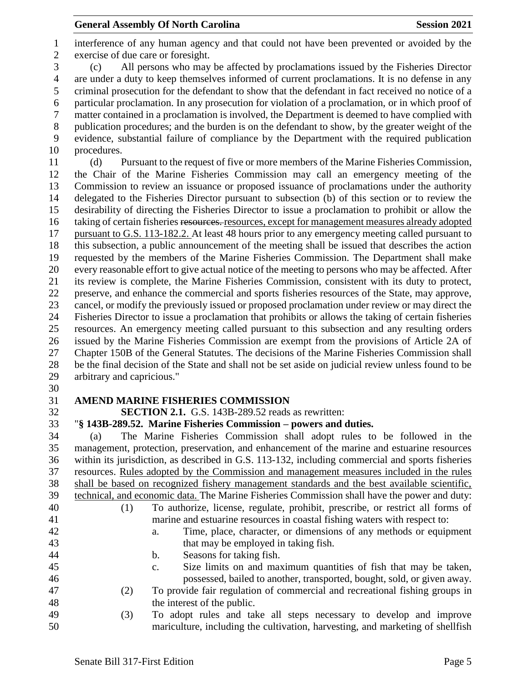interference of any human agency and that could not have been prevented or avoided by the exercise of due care or foresight. (c) All persons who may be affected by proclamations issued by the Fisheries Director are under a duty to keep themselves informed of current proclamations. It is no defense in any criminal prosecution for the defendant to show that the defendant in fact received no notice of a particular proclamation. In any prosecution for violation of a proclamation, or in which proof of matter contained in a proclamation is involved, the Department is deemed to have complied with publication procedures; and the burden is on the defendant to show, by the greater weight of the evidence, substantial failure of compliance by the Department with the required publication procedures. (d) Pursuant to the request of five or more members of the Marine Fisheries Commission, the Chair of the Marine Fisheries Commission may call an emergency meeting of the Commission to review an issuance or proposed issuance of proclamations under the authority delegated to the Fisheries Director pursuant to subsection (b) of this section or to review the desirability of directing the Fisheries Director to issue a proclamation to prohibit or allow the 16 taking of certain fisheries resources, resources, except for management measures already adopted pursuant to G.S. 113-182.2. At least 48 hours prior to any emergency meeting called pursuant to this subsection, a public announcement of the meeting shall be issued that describes the action requested by the members of the Marine Fisheries Commission. The Department shall make every reasonable effort to give actual notice of the meeting to persons who may be affected. After its review is complete, the Marine Fisheries Commission, consistent with its duty to protect, preserve, and enhance the commercial and sports fisheries resources of the State, may approve, cancel, or modify the previously issued or proposed proclamation under review or may direct the Fisheries Director to issue a proclamation that prohibits or allows the taking of certain fisheries resources. An emergency meeting called pursuant to this subsection and any resulting orders issued by the Marine Fisheries Commission are exempt from the provisions of Article 2A of Chapter 150B of the General Statutes. The decisions of the Marine Fisheries Commission shall be the final decision of the State and shall not be set aside on judicial review unless found to be arbitrary and capricious."

## **AMEND MARINE FISHERIES COMMISSION**

**SECTION 2.1.** G.S. 143B-289.52 reads as rewritten:

"**§ 143B-289.52. Marine Fisheries Commission – powers and duties.**

 (a) The Marine Fisheries Commission shall adopt rules to be followed in the management, protection, preservation, and enhancement of the marine and estuarine resources within its jurisdiction, as described in G.S. 113-132, including commercial and sports fisheries resources. Rules adopted by the Commission and management measures included in the rules shall be based on recognized fishery management standards and the best available scientific, technical, and economic data. The Marine Fisheries Commission shall have the power and duty: (1) To authorize, license, regulate, prohibit, prescribe, or restrict all forms of marine and estuarine resources in coastal fishing waters with respect to: a. Time, place, character, or dimensions of any methods or equipment that may be employed in taking fish. b. Seasons for taking fish. c. Size limits on and maximum quantities of fish that may be taken, possessed, bailed to another, transported, bought, sold, or given away. (2) To provide fair regulation of commercial and recreational fishing groups in 48 the interest of the public.

 (3) To adopt rules and take all steps necessary to develop and improve mariculture, including the cultivation, harvesting, and marketing of shellfish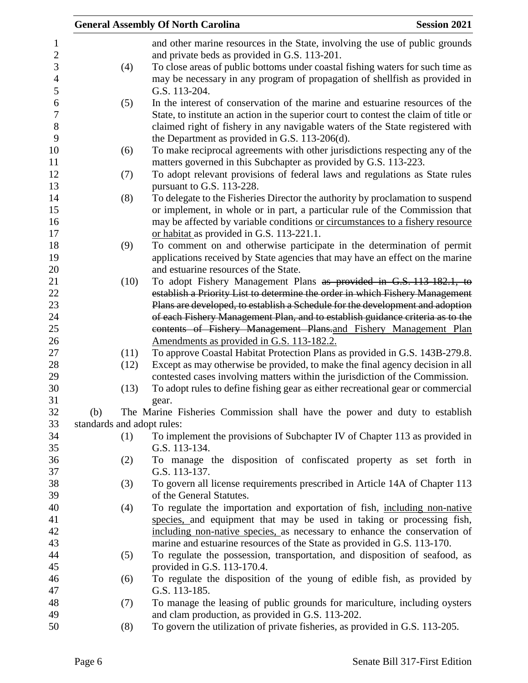|     |      | <b>General Assembly Of North Carolina</b>                                                                                                                     | <b>Session 2021</b> |
|-----|------|---------------------------------------------------------------------------------------------------------------------------------------------------------------|---------------------|
|     |      | and other marine resources in the State, involving the use of public grounds                                                                                  |                     |
|     |      | and private beds as provided in G.S. 113-201.                                                                                                                 |                     |
|     | (4)  | To close areas of public bottoms under coastal fishing waters for such time as                                                                                |                     |
|     |      | may be necessary in any program of propagation of shellfish as provided in                                                                                    |                     |
|     |      | G.S. 113-204.                                                                                                                                                 |                     |
|     | (5)  | In the interest of conservation of the marine and estuarine resources of the                                                                                  |                     |
|     |      | State, to institute an action in the superior court to contest the claim of title or                                                                          |                     |
|     |      | claimed right of fishery in any navigable waters of the State registered with                                                                                 |                     |
|     |      | the Department as provided in G.S. 113-206(d).                                                                                                                |                     |
|     | (6)  | To make reciprocal agreements with other jurisdictions respecting any of the                                                                                  |                     |
|     |      | matters governed in this Subchapter as provided by G.S. 113-223.                                                                                              |                     |
|     | (7)  | To adopt relevant provisions of federal laws and regulations as State rules                                                                                   |                     |
|     |      | pursuant to G.S. 113-228.                                                                                                                                     |                     |
|     | (8)  | To delegate to the Fisheries Director the authority by proclamation to suspend                                                                                |                     |
|     |      | or implement, in whole or in part, a particular rule of the Commission that                                                                                   |                     |
|     |      | may be affected by variable conditions or circumstances to a fishery resource                                                                                 |                     |
|     |      | or habitat as provided in G.S. 113-221.1.                                                                                                                     |                     |
|     | (9)  | To comment on and otherwise participate in the determination of permit                                                                                        |                     |
|     |      | applications received by State agencies that may have an effect on the marine                                                                                 |                     |
|     |      | and estuarine resources of the State.                                                                                                                         |                     |
|     | (10) | To adopt Fishery Management Plans as provided in G.S. 113-182.1, to                                                                                           |                     |
|     |      | establish a Priority List to determine the order in which Fishery Management<br>Plans are developed, to establish a Schedule for the development and adoption |                     |
|     |      | of each Fishery Management Plan, and to establish guidance criteria as to the                                                                                 |                     |
|     |      | contents of Fishery Management Plans-and Fishery Management Plan                                                                                              |                     |
|     |      | Amendments as provided in G.S. 113-182.2.                                                                                                                     |                     |
|     | (11) | To approve Coastal Habitat Protection Plans as provided in G.S. 143B-279.8.                                                                                   |                     |
|     | (12) | Except as may otherwise be provided, to make the final agency decision in all                                                                                 |                     |
|     |      | contested cases involving matters within the jurisdiction of the Commission.                                                                                  |                     |
|     | (13) | To adopt rules to define fishing gear as either recreational gear or commercial                                                                               |                     |
|     |      | gear.                                                                                                                                                         |                     |
| (b) |      | The Marine Fisheries Commission shall have the power and duty to establish                                                                                    |                     |
|     |      | standards and adopt rules:                                                                                                                                    |                     |
|     | (1)  | To implement the provisions of Subchapter IV of Chapter 113 as provided in                                                                                    |                     |
|     |      | G.S. 113-134.                                                                                                                                                 |                     |
|     | (2)  | To manage the disposition of confiscated property as set forth in                                                                                             |                     |
|     |      | G.S. 113-137.                                                                                                                                                 |                     |
|     | (3)  | To govern all license requirements prescribed in Article 14A of Chapter 113                                                                                   |                     |
|     |      | of the General Statutes.                                                                                                                                      |                     |
|     | (4)  | To regulate the importation and exportation of fish, including non-native                                                                                     |                     |
|     |      | species, and equipment that may be used in taking or processing fish,                                                                                         |                     |
|     |      | including non-native species, as necessary to enhance the conservation of<br>marine and estuarine resources of the State as provided in G.S. 113-170.         |                     |
|     | (5)  | To regulate the possession, transportation, and disposition of seafood, as                                                                                    |                     |
|     |      | provided in G.S. 113-170.4.                                                                                                                                   |                     |
|     | (6)  | To regulate the disposition of the young of edible fish, as provided by                                                                                       |                     |
|     |      | G.S. 113-185.                                                                                                                                                 |                     |
|     | (7)  | To manage the leasing of public grounds for mariculture, including oysters                                                                                    |                     |
|     |      | and clam production, as provided in G.S. 113-202.                                                                                                             |                     |
|     | (8)  | To govern the utilization of private fisheries, as provided in G.S. 113-205.                                                                                  |                     |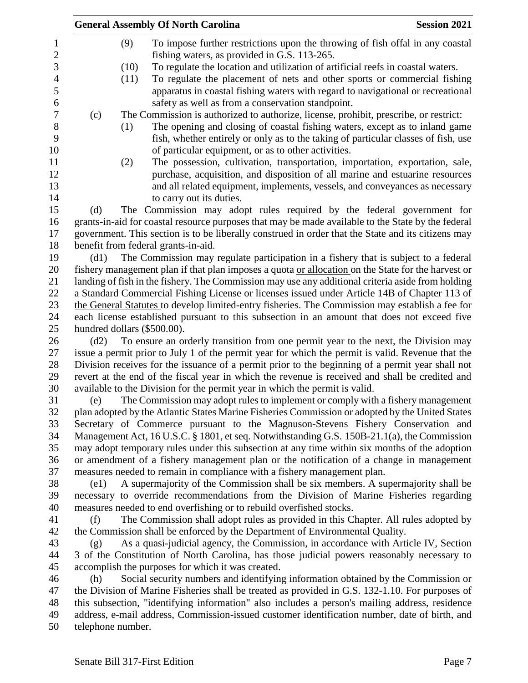|                             |      | <b>General Assembly Of North Carolina</b>                                                          | <b>Session 2021</b> |
|-----------------------------|------|----------------------------------------------------------------------------------------------------|---------------------|
|                             | (9)  | To impose further restrictions upon the throwing of fish offal in any coastal                      |                     |
|                             |      | fishing waters, as provided in G.S. 113-265.                                                       |                     |
|                             | (10) | To regulate the location and utilization of artificial reefs in coastal waters.                    |                     |
|                             | (11) | To regulate the placement of nets and other sports or commercial fishing                           |                     |
|                             |      | apparatus in coastal fishing waters with regard to navigational or recreational                    |                     |
|                             |      | safety as well as from a conservation standpoint.                                                  |                     |
| (c)                         |      | The Commission is authorized to authorize, license, prohibit, prescribe, or restrict:              |                     |
|                             | (1)  | The opening and closing of coastal fishing waters, except as to inland game                        |                     |
|                             |      | fish, whether entirely or only as to the taking of particular classes of fish, use                 |                     |
|                             |      | of particular equipment, or as to other activities.                                                |                     |
|                             | (2)  | The possession, cultivation, transportation, importation, exportation, sale,                       |                     |
|                             |      | purchase, acquisition, and disposition of all marine and estuarine resources                       |                     |
|                             |      | and all related equipment, implements, vessels, and conveyances as necessary                       |                     |
|                             |      | to carry out its duties.                                                                           |                     |
| (d)                         |      | The Commission may adopt rules required by the federal government for                              |                     |
|                             |      | grants-in-aid for coastal resource purposes that may be made available to the State by the federal |                     |
|                             |      | government. This section is to be liberally construed in order that the State and its citizens may |                     |
|                             |      | benefit from federal grants-in-aid.                                                                |                     |
| (d1)                        |      | The Commission may regulate participation in a fishery that is subject to a federal                |                     |
|                             |      | fishery management plan if that plan imposes a quota or allocation on the State for the harvest or |                     |
|                             |      | landing of fish in the fishery. The Commission may use any additional criteria aside from holding  |                     |
|                             |      | a Standard Commercial Fishing License or licenses issued under Article 14B of Chapter 113 of       |                     |
|                             |      | the General Statutes to develop limited-entry fisheries. The Commission may establish a fee for    |                     |
|                             |      | each license established pursuant to this subsection in an amount that does not exceed five        |                     |
| hundred dollars (\$500.00). |      |                                                                                                    |                     |
| (d2)                        |      | To ensure an orderly transition from one permit year to the next, the Division may                 |                     |
|                             |      | issue a permit prior to July 1 of the permit year for which the permit is valid. Revenue that the  |                     |
|                             |      | Division receives for the issuance of a permit prior to the beginning of a permit year shall not   |                     |
|                             |      | revert at the end of the fiscal year in which the revenue is received and shall be credited and    |                     |
|                             |      | available to the Division for the permit year in which the permit is valid.                        |                     |
| (e)                         |      | The Commission may adopt rules to implement or comply with a fishery management                    |                     |
|                             |      | plan adopted by the Atlantic States Marine Fisheries Commission or adopted by the United States    |                     |
|                             |      | Secretary of Commerce pursuant to the Magnuson-Stevens Fishery Conservation and                    |                     |
|                             |      | Management Act, 16 U.S.C. § 1801, et seq. Notwithstanding G.S. 150B-21.1(a), the Commission        |                     |
|                             |      | may adopt temporary rules under this subsection at any time within six months of the adoption      |                     |
|                             |      | or amendment of a fishery management plan or the notification of a change in management            |                     |
|                             |      | measures needed to remain in compliance with a fishery management plan.                            |                     |
| (e1)                        |      | A supermajority of the Commission shall be six members. A supermajority shall be                   |                     |
|                             |      | necessary to override recommendations from the Division of Marine Fisheries regarding              |                     |
|                             |      | measures needed to end overfishing or to rebuild overfished stocks.                                |                     |
| (f)                         |      | The Commission shall adopt rules as provided in this Chapter. All rules adopted by                 |                     |
|                             |      | the Commission shall be enforced by the Department of Environmental Quality.                       |                     |
| (g)                         |      | As a quasi-judicial agency, the Commission, in accordance with Article IV, Section                 |                     |
|                             |      | 3 of the Constitution of North Carolina, has those judicial powers reasonably necessary to         |                     |
|                             |      | accomplish the purposes for which it was created.                                                  |                     |
| (h)                         |      | Social security numbers and identifying information obtained by the Commission or                  |                     |
|                             |      | the Division of Marine Fisheries shall be treated as provided in G.S. 132-1.10. For purposes of    |                     |
|                             |      | this subsection, "identifying information" also includes a person's mailing address, residence     |                     |
|                             |      | address, e-mail address, Commission-issued customer identification number, date of birth, and      |                     |
| telephone number.           |      |                                                                                                    |                     |
|                             |      |                                                                                                    |                     |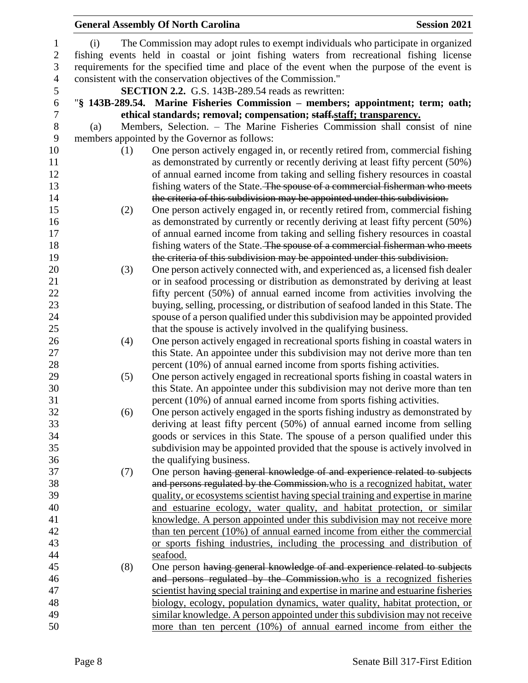|     | <b>General Assembly Of North Carolina</b>                                                                                                                     | <b>Session 2021</b> |
|-----|---------------------------------------------------------------------------------------------------------------------------------------------------------------|---------------------|
| (i) | The Commission may adopt rules to exempt individuals who participate in organized                                                                             |                     |
|     | fishing events held in coastal or joint fishing waters from recreational fishing license                                                                      |                     |
|     | requirements for the specified time and place of the event when the purpose of the event is                                                                   |                     |
|     | consistent with the conservation objectives of the Commission."                                                                                               |                     |
|     | SECTION 2.2. G.S. 143B-289.54 reads as rewritten:                                                                                                             |                     |
|     | "§ 143B-289.54. Marine Fisheries Commission - members; appointment; term; oath;                                                                               |                     |
|     | ethical standards; removal; compensation; staff.staff; transparency.                                                                                          |                     |
| (a) | Members, Selection. - The Marine Fisheries Commission shall consist of nine                                                                                   |                     |
|     | members appointed by the Governor as follows:                                                                                                                 |                     |
|     | One person actively engaged in, or recently retired from, commercial fishing<br>(1)                                                                           |                     |
|     | as demonstrated by currently or recently deriving at least fifty percent (50%)                                                                                |                     |
|     | of annual earned income from taking and selling fishery resources in coastal                                                                                  |                     |
|     | fishing waters of the State. The spouse of a commercial fisherman who meets                                                                                   |                     |
|     | the criteria of this subdivision may be appointed under this subdivision.                                                                                     |                     |
|     | One person actively engaged in, or recently retired from, commercial fishing<br>(2)                                                                           |                     |
|     | as demonstrated by currently or recently deriving at least fifty percent (50%)                                                                                |                     |
|     | of annual earned income from taking and selling fishery resources in coastal                                                                                  |                     |
|     | fishing waters of the State. The spouse of a commercial fisherman who meets                                                                                   |                     |
|     | the criteria of this subdivision may be appointed under this subdivision.                                                                                     |                     |
|     | One person actively connected with, and experienced as, a licensed fish dealer<br>(3)                                                                         |                     |
|     | or in seafood processing or distribution as demonstrated by deriving at least                                                                                 |                     |
|     | fifty percent (50%) of annual earned income from activities involving the                                                                                     |                     |
|     | buying, selling, processing, or distribution of seafood landed in this State. The                                                                             |                     |
|     | spouse of a person qualified under this subdivision may be appointed provided                                                                                 |                     |
|     | that the spouse is actively involved in the qualifying business.                                                                                              |                     |
|     | One person actively engaged in recreational sports fishing in coastal waters in<br>(4)                                                                        |                     |
|     | this State. An appointee under this subdivision may not derive more than ten                                                                                  |                     |
|     | percent (10%) of annual earned income from sports fishing activities.                                                                                         |                     |
|     | One person actively engaged in recreational sports fishing in coastal waters in<br>(5)                                                                        |                     |
|     | this State. An appointee under this subdivision may not derive more than ten                                                                                  |                     |
|     | percent (10%) of annual earned income from sports fishing activities.<br>One person actively engaged in the sports fishing industry as demonstrated by<br>(6) |                     |
|     | deriving at least fifty percent (50%) of annual earned income from selling                                                                                    |                     |
|     | goods or services in this State. The spouse of a person qualified under this                                                                                  |                     |
|     | subdivision may be appointed provided that the spouse is actively involved in                                                                                 |                     |
|     | the qualifying business.                                                                                                                                      |                     |
|     | One person having general knowledge of and experience related to subjects<br>(7)                                                                              |                     |
|     | and persons regulated by the Commission, who is a recognized habitat, water                                                                                   |                     |
|     | quality, or ecosystems scientist having special training and expertise in marine                                                                              |                     |
|     | and estuarine ecology, water quality, and habitat protection, or similar                                                                                      |                     |
|     | knowledge. A person appointed under this subdivision may not receive more                                                                                     |                     |
|     | than ten percent (10%) of annual earned income from either the commercial                                                                                     |                     |
|     | or sports fishing industries, including the processing and distribution of                                                                                    |                     |
|     | seafood.                                                                                                                                                      |                     |
|     | One person having general knowledge of and experience related to subjects<br>(8)                                                                              |                     |
|     | and persons regulated by the Commission-who is a recognized fisheries                                                                                         |                     |
|     | scientist having special training and expertise in marine and estuarine fisheries                                                                             |                     |
|     | biology, ecology, population dynamics, water quality, habitat protection, or                                                                                  |                     |
|     | similar knowledge. A person appointed under this subdivision may not receive                                                                                  |                     |
|     | more than ten percent (10%) of annual earned income from either the                                                                                           |                     |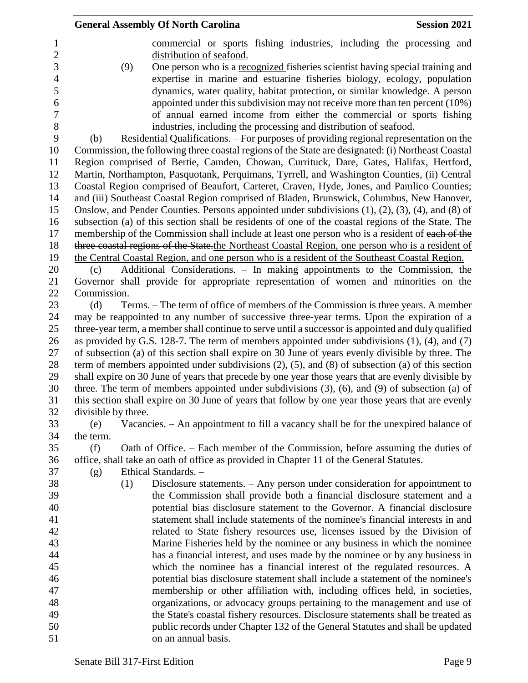| <b>General Assembly Of North Carolina</b><br><b>Session 2021</b>                                                                                                                                               |
|----------------------------------------------------------------------------------------------------------------------------------------------------------------------------------------------------------------|
| commercial or sports fishing industries, including the processing and                                                                                                                                          |
| distribution of seafood.                                                                                                                                                                                       |
| (9)<br>One person who is a recognized fisheries scientist having special training and                                                                                                                          |
| expertise in marine and estuarine fisheries biology, ecology, population                                                                                                                                       |
| dynamics, water quality, habitat protection, or similar knowledge. A person                                                                                                                                    |
| appointed under this subdivision may not receive more than ten percent (10%)                                                                                                                                   |
| of annual earned income from either the commercial or sports fishing                                                                                                                                           |
| industries, including the processing and distribution of seafood.                                                                                                                                              |
| Residential Qualifications. – For purposes of providing regional representation on the<br>(b)                                                                                                                  |
| Commission, the following three coastal regions of the State are designated: (i) Northeast Coastal                                                                                                             |
| Region comprised of Bertie, Camden, Chowan, Currituck, Dare, Gates, Halifax, Hertford,                                                                                                                         |
| Martin, Northampton, Pasquotank, Perquimans, Tyrrell, and Washington Counties, (ii) Central                                                                                                                    |
| Coastal Region comprised of Beaufort, Carteret, Craven, Hyde, Jones, and Pamlico Counties;                                                                                                                     |
| and (iii) Southeast Coastal Region comprised of Bladen, Brunswick, Columbus, New Hanover,                                                                                                                      |
| Onslow, and Pender Counties. Persons appointed under subdivisions $(1)$ , $(2)$ , $(3)$ , $(4)$ , and $(8)$ of                                                                                                 |
| subsection (a) of this section shall be residents of one of the coastal regions of the State. The                                                                                                              |
| membership of the Commission shall include at least one person who is a resident of each of the                                                                                                                |
| three coastal regions of the State the Northeast Coastal Region, one person who is a resident of                                                                                                               |
| the Central Coastal Region, and one person who is a resident of the Southeast Coastal Region.                                                                                                                  |
| Additional Considerations. – In making appointments to the Commission, the<br>(c)                                                                                                                              |
| Governor shall provide for appropriate representation of women and minorities on the                                                                                                                           |
| Commission.                                                                                                                                                                                                    |
| Terms. – The term of office of members of the Commission is three years. A member<br>(d)                                                                                                                       |
| may be reappointed to any number of successive three-year terms. Upon the expiration of a                                                                                                                      |
| three-year term, a member shall continue to serve until a successor is appointed and duly qualified                                                                                                            |
| as provided by G.S. 128-7. The term of members appointed under subdivisions $(1)$ , $(4)$ , and $(7)$                                                                                                          |
| of subsection (a) of this section shall expire on 30 June of years evenly divisible by three. The                                                                                                              |
| term of members appointed under subdivisions $(2)$ , $(5)$ , and $(8)$ of subsection $(a)$ of this section                                                                                                     |
|                                                                                                                                                                                                                |
| shall expire on 30 June of years that precede by one year those years that are evenly divisible by<br>three. The term of members appointed under subdivisions $(3)$ , $(6)$ , and $(9)$ of subsection $(a)$ of |
|                                                                                                                                                                                                                |
| this section shall expire on 30 June of years that follow by one year those years that are evenly<br>divisible by three.                                                                                       |
|                                                                                                                                                                                                                |
| Vacancies. - An appointment to fill a vacancy shall be for the unexpired balance of<br>(e)                                                                                                                     |
| the term.                                                                                                                                                                                                      |
| (f)<br>Oath of Office. – Each member of the Commission, before assuming the duties of                                                                                                                          |
| office, shall take an oath of office as provided in Chapter 11 of the General Statutes.<br>Ethical Standards. -                                                                                                |
| (g)                                                                                                                                                                                                            |
| Disclosure statements. – Any person under consideration for appointment to<br>(1)                                                                                                                              |
| the Commission shall provide both a financial disclosure statement and a                                                                                                                                       |
| potential bias disclosure statement to the Governor. A financial disclosure                                                                                                                                    |
| statement shall include statements of the nominee's financial interests in and                                                                                                                                 |
| related to State fishery resources use, licenses issued by the Division of                                                                                                                                     |
| Marine Fisheries held by the nominee or any business in which the nominee                                                                                                                                      |
| has a financial interest, and uses made by the nominee or by any business in                                                                                                                                   |
| which the nominee has a financial interest of the regulated resources. A                                                                                                                                       |
| potential bias disclosure statement shall include a statement of the nominee's                                                                                                                                 |
| membership or other affiliation with, including offices held, in societies,                                                                                                                                    |
| organizations, or advocacy groups pertaining to the management and use of                                                                                                                                      |
| the State's coastal fishery resources. Disclosure statements shall be treated as                                                                                                                               |
| public records under Chapter 132 of the General Statutes and shall be updated                                                                                                                                  |
| on an annual basis.                                                                                                                                                                                            |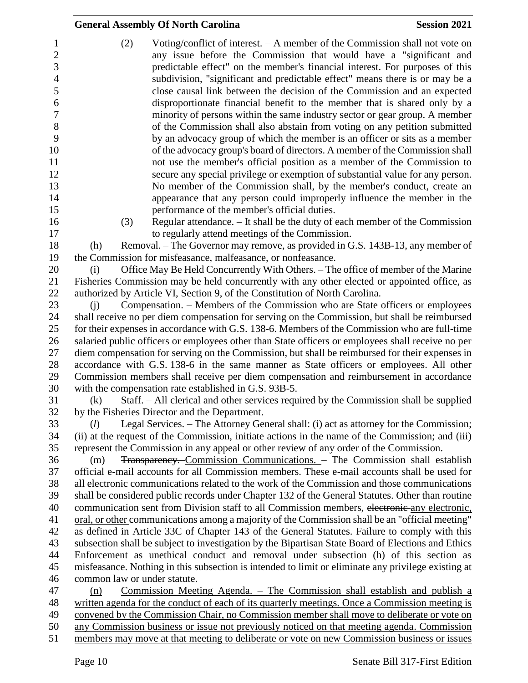|                                                                                               | <b>General Assembly Of North Carolina</b>                                                                                                                                                                                                                                                                                                                                                                                                                                                                                                                                                                                                                                                                                                                                                                                                                                                                                                                                                                                                            | <b>Session 2021</b> |  |
|-----------------------------------------------------------------------------------------------|------------------------------------------------------------------------------------------------------------------------------------------------------------------------------------------------------------------------------------------------------------------------------------------------------------------------------------------------------------------------------------------------------------------------------------------------------------------------------------------------------------------------------------------------------------------------------------------------------------------------------------------------------------------------------------------------------------------------------------------------------------------------------------------------------------------------------------------------------------------------------------------------------------------------------------------------------------------------------------------------------------------------------------------------------|---------------------|--|
| 1<br>$\mathbf{2}$<br>3<br>4<br>5<br>6<br>$\overline{7}$<br>$8\,$<br>9<br>10<br>11<br>12<br>13 | (2)<br>Voting/conflict of interest. $- A$ member of the Commission shall not vote on<br>any issue before the Commission that would have a "significant and<br>predictable effect" on the member's financial interest. For purposes of this<br>subdivision, "significant and predictable effect" means there is or may be a<br>close causal link between the decision of the Commission and an expected<br>disproportionate financial benefit to the member that is shared only by a<br>minority of persons within the same industry sector or gear group. A member<br>of the Commission shall also abstain from voting on any petition submitted<br>by an advocacy group of which the member is an officer or sits as a member<br>of the advocacy group's board of directors. A member of the Commission shall<br>not use the member's official position as a member of the Commission to<br>secure any special privilege or exemption of substantial value for any person.<br>No member of the Commission shall, by the member's conduct, create an |                     |  |
| 14                                                                                            | appearance that any person could improperly influence the member in the                                                                                                                                                                                                                                                                                                                                                                                                                                                                                                                                                                                                                                                                                                                                                                                                                                                                                                                                                                              |                     |  |
| 15                                                                                            | performance of the member's official duties.                                                                                                                                                                                                                                                                                                                                                                                                                                                                                                                                                                                                                                                                                                                                                                                                                                                                                                                                                                                                         |                     |  |
| 16<br>17                                                                                      | Regular attendance. - It shall be the duty of each member of the Commission<br>(3)<br>to regularly attend meetings of the Commission.                                                                                                                                                                                                                                                                                                                                                                                                                                                                                                                                                                                                                                                                                                                                                                                                                                                                                                                |                     |  |
| 18                                                                                            | Removal. – The Governor may remove, as provided in G.S. 143B-13, any member of<br>(h)                                                                                                                                                                                                                                                                                                                                                                                                                                                                                                                                                                                                                                                                                                                                                                                                                                                                                                                                                                |                     |  |
| 19                                                                                            | the Commission for misfeasance, malfeasance, or nonfeasance.                                                                                                                                                                                                                                                                                                                                                                                                                                                                                                                                                                                                                                                                                                                                                                                                                                                                                                                                                                                         |                     |  |
| 20                                                                                            | Office May Be Held Concurrently With Others. - The office of member of the Marine<br>(i)                                                                                                                                                                                                                                                                                                                                                                                                                                                                                                                                                                                                                                                                                                                                                                                                                                                                                                                                                             |                     |  |
| 21                                                                                            | Fisheries Commission may be held concurrently with any other elected or appointed office, as                                                                                                                                                                                                                                                                                                                                                                                                                                                                                                                                                                                                                                                                                                                                                                                                                                                                                                                                                         |                     |  |
| 22                                                                                            | authorized by Article VI, Section 9, of the Constitution of North Carolina.                                                                                                                                                                                                                                                                                                                                                                                                                                                                                                                                                                                                                                                                                                                                                                                                                                                                                                                                                                          |                     |  |
| 23                                                                                            | Compensation. – Members of the Commission who are State officers or employees<br>(i)                                                                                                                                                                                                                                                                                                                                                                                                                                                                                                                                                                                                                                                                                                                                                                                                                                                                                                                                                                 |                     |  |
| 24                                                                                            | shall receive no per diem compensation for serving on the Commission, but shall be reimbursed                                                                                                                                                                                                                                                                                                                                                                                                                                                                                                                                                                                                                                                                                                                                                                                                                                                                                                                                                        |                     |  |
| 25                                                                                            | for their expenses in accordance with G.S. 138-6. Members of the Commission who are full-time                                                                                                                                                                                                                                                                                                                                                                                                                                                                                                                                                                                                                                                                                                                                                                                                                                                                                                                                                        |                     |  |
| 26                                                                                            | salaried public officers or employees other than State officers or employees shall receive no per                                                                                                                                                                                                                                                                                                                                                                                                                                                                                                                                                                                                                                                                                                                                                                                                                                                                                                                                                    |                     |  |
| 27                                                                                            | diem compensation for serving on the Commission, but shall be reimbursed for their expenses in                                                                                                                                                                                                                                                                                                                                                                                                                                                                                                                                                                                                                                                                                                                                                                                                                                                                                                                                                       |                     |  |
| 28<br>29                                                                                      | accordance with G.S. 138-6 in the same manner as State officers or employees. All other<br>Commission members shall receive per diem compensation and reimbursement in accordance                                                                                                                                                                                                                                                                                                                                                                                                                                                                                                                                                                                                                                                                                                                                                                                                                                                                    |                     |  |
| 30                                                                                            | with the compensation rate established in G.S. 93B-5.                                                                                                                                                                                                                                                                                                                                                                                                                                                                                                                                                                                                                                                                                                                                                                                                                                                                                                                                                                                                |                     |  |
| 31                                                                                            | Staff. - All clerical and other services required by the Commission shall be supplied<br>(k)                                                                                                                                                                                                                                                                                                                                                                                                                                                                                                                                                                                                                                                                                                                                                                                                                                                                                                                                                         |                     |  |
| 32                                                                                            | by the Fisheries Director and the Department.                                                                                                                                                                                                                                                                                                                                                                                                                                                                                                                                                                                                                                                                                                                                                                                                                                                                                                                                                                                                        |                     |  |
| 33                                                                                            | Legal Services. - The Attorney General shall: (i) act as attorney for the Commission;<br>(l)                                                                                                                                                                                                                                                                                                                                                                                                                                                                                                                                                                                                                                                                                                                                                                                                                                                                                                                                                         |                     |  |
| 34                                                                                            | (ii) at the request of the Commission, initiate actions in the name of the Commission; and (iii)                                                                                                                                                                                                                                                                                                                                                                                                                                                                                                                                                                                                                                                                                                                                                                                                                                                                                                                                                     |                     |  |
| 35                                                                                            | represent the Commission in any appeal or other review of any order of the Commission.                                                                                                                                                                                                                                                                                                                                                                                                                                                                                                                                                                                                                                                                                                                                                                                                                                                                                                                                                               |                     |  |
| 36                                                                                            | <b>Transparency.</b> Commission Communications. - The Commission shall establish<br>(m)                                                                                                                                                                                                                                                                                                                                                                                                                                                                                                                                                                                                                                                                                                                                                                                                                                                                                                                                                              |                     |  |
| 37                                                                                            | official e-mail accounts for all Commission members. These e-mail accounts shall be used for                                                                                                                                                                                                                                                                                                                                                                                                                                                                                                                                                                                                                                                                                                                                                                                                                                                                                                                                                         |                     |  |
| 38                                                                                            | all electronic communications related to the work of the Commission and those communications                                                                                                                                                                                                                                                                                                                                                                                                                                                                                                                                                                                                                                                                                                                                                                                                                                                                                                                                                         |                     |  |
| 39                                                                                            | shall be considered public records under Chapter 132 of the General Statutes. Other than routine                                                                                                                                                                                                                                                                                                                                                                                                                                                                                                                                                                                                                                                                                                                                                                                                                                                                                                                                                     |                     |  |
| 40<br>41                                                                                      | communication sent from Division staff to all Commission members, electronic-any electronic,                                                                                                                                                                                                                                                                                                                                                                                                                                                                                                                                                                                                                                                                                                                                                                                                                                                                                                                                                         |                     |  |
| 42                                                                                            | oral, or other communications among a majority of the Commission shall be an "official meeting"                                                                                                                                                                                                                                                                                                                                                                                                                                                                                                                                                                                                                                                                                                                                                                                                                                                                                                                                                      |                     |  |
| 43                                                                                            | as defined in Article 33C of Chapter 143 of the General Statutes. Failure to comply with this                                                                                                                                                                                                                                                                                                                                                                                                                                                                                                                                                                                                                                                                                                                                                                                                                                                                                                                                                        |                     |  |
|                                                                                               | subsection shall be subject to investigation by the Bipartisan State Board of Elections and Ethics<br>Enforcement as unethical conduct and removal under subsection (h) of this section as                                                                                                                                                                                                                                                                                                                                                                                                                                                                                                                                                                                                                                                                                                                                                                                                                                                           |                     |  |
|                                                                                               | misfeasance. Nothing in this subsection is intended to limit or eliminate any privilege existing at                                                                                                                                                                                                                                                                                                                                                                                                                                                                                                                                                                                                                                                                                                                                                                                                                                                                                                                                                  |                     |  |
|                                                                                               | common law or under statute.                                                                                                                                                                                                                                                                                                                                                                                                                                                                                                                                                                                                                                                                                                                                                                                                                                                                                                                                                                                                                         |                     |  |
|                                                                                               | Commission Meeting Agenda. – The Commission shall establish and publish a<br>(n)                                                                                                                                                                                                                                                                                                                                                                                                                                                                                                                                                                                                                                                                                                                                                                                                                                                                                                                                                                     |                     |  |
|                                                                                               | written agenda for the conduct of each of its quarterly meetings. Once a Commission meeting is                                                                                                                                                                                                                                                                                                                                                                                                                                                                                                                                                                                                                                                                                                                                                                                                                                                                                                                                                       |                     |  |
| 49                                                                                            | convened by the Commission Chair, no Commission member shall move to deliberate or vote on                                                                                                                                                                                                                                                                                                                                                                                                                                                                                                                                                                                                                                                                                                                                                                                                                                                                                                                                                           |                     |  |
|                                                                                               | any Commission business or issue not previously noticed on that meeting agenda. Commission                                                                                                                                                                                                                                                                                                                                                                                                                                                                                                                                                                                                                                                                                                                                                                                                                                                                                                                                                           |                     |  |
|                                                                                               | members may move at that meeting to deliberate or vote on new Commission business or issues                                                                                                                                                                                                                                                                                                                                                                                                                                                                                                                                                                                                                                                                                                                                                                                                                                                                                                                                                          |                     |  |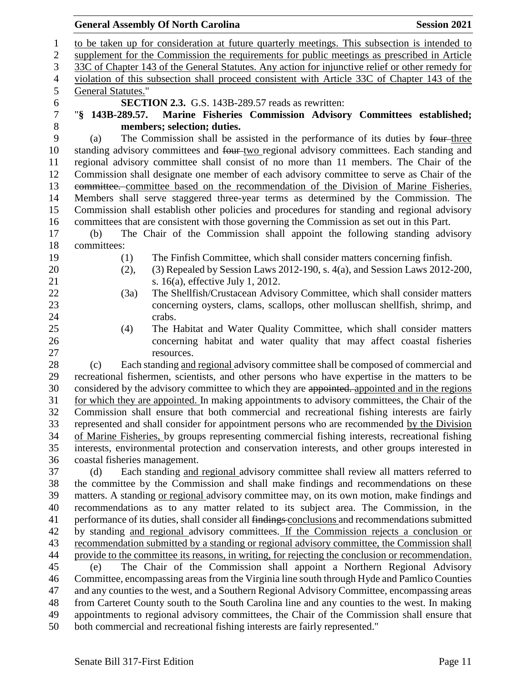to be taken up for consideration at future quarterly meetings. This subsection is intended to supplement for the Commission the requirements for public meetings as prescribed in Article 33C of Chapter 143 of the General Statutes. Any action for injunctive relief or other remedy for violation of this subsection shall proceed consistent with Article 33C of Chapter 143 of the General Statutes." **SECTION 2.3.** G.S. 143B-289.57 reads as rewritten: "**§ 143B-289.57. Marine Fisheries Commission Advisory Committees established; members; selection; duties.** (a) The Commission shall be assisted in the performance of its duties by four three 10 standing advisory committees and four two regional advisory committees. Each standing and regional advisory committee shall consist of no more than 11 members. The Chair of the Commission shall designate one member of each advisory committee to serve as Chair of the committee. committee based on the recommendation of the Division of Marine Fisheries. Members shall serve staggered three-year terms as determined by the Commission. The Commission shall establish other policies and procedures for standing and regional advisory committees that are consistent with those governing the Commission as set out in this Part. (b) The Chair of the Commission shall appoint the following standing advisory committees: (1) The Finfish Committee, which shall consider matters concerning finfish. (2), (3) Repealed by Session Laws 2012-190, s. 4(a), and Session Laws 2012-200, 21 s. 16(a), effective July 1, 2012. (3a) The Shellfish/Crustacean Advisory Committee, which shall consider matters concerning oysters, clams, scallops, other molluscan shellfish, shrimp, and 24 crabs. (4) The Habitat and Water Quality Committee, which shall consider matters concerning habitat and water quality that may affect coastal fisheries resources. (c) Each standing and regional advisory committee shall be composed of commercial and recreational fishermen, scientists, and other persons who have expertise in the matters to be considered by the advisory committee to which they are appointed. appointed and in the regions for which they are appointed. In making appointments to advisory committees, the Chair of the Commission shall ensure that both commercial and recreational fishing interests are fairly represented and shall consider for appointment persons who are recommended by the Division of Marine Fisheries, by groups representing commercial fishing interests, recreational fishing interests, environmental protection and conservation interests, and other groups interested in coastal fisheries management. (d) Each standing and regional advisory committee shall review all matters referred to the committee by the Commission and shall make findings and recommendations on these matters. A standing or regional advisory committee may, on its own motion, make findings and recommendations as to any matter related to its subject area. The Commission, in the 41 performance of its duties, shall consider all findings conclusions and recommendations submitted by standing and regional advisory committees. If the Commission rejects a conclusion or recommendation submitted by a standing or regional advisory committee, the Commission shall provide to the committee its reasons, in writing, for rejecting the conclusion or recommendation. (e) The Chair of the Commission shall appoint a Northern Regional Advisory Committee, encompassing areas from the Virginia line south through Hyde and Pamlico Counties and any counties to the west, and a Southern Regional Advisory Committee, encompassing areas from Carteret County south to the South Carolina line and any counties to the west. In making appointments to regional advisory committees, the Chair of the Commission shall ensure that both commercial and recreational fishing interests are fairly represented."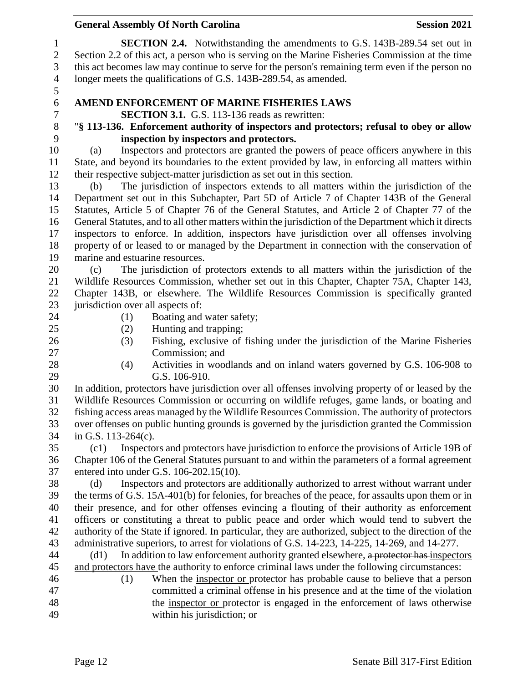| $\mathbf{1}$   | <b>SECTION 2.4.</b> Notwithstanding the amendments to G.S. 143B-289.54 set out in                                                                                                  |
|----------------|------------------------------------------------------------------------------------------------------------------------------------------------------------------------------------|
| $\overline{2}$ | Section 2.2 of this act, a person who is serving on the Marine Fisheries Commission at the time                                                                                    |
| 3              | this act becomes law may continue to serve for the person's remaining term even if the person no                                                                                   |
| $\overline{4}$ | longer meets the qualifications of G.S. 143B-289.54, as amended.                                                                                                                   |
| 5              |                                                                                                                                                                                    |
| 6              | AMEND ENFORCEMENT OF MARINE FISHERIES LAWS                                                                                                                                         |
| 7              | <b>SECTION 3.1.</b> G.S. 113-136 reads as rewritten:                                                                                                                               |
| 8              | "§ 113-136. Enforcement authority of inspectors and protectors; refusal to obey or allow                                                                                           |
| 9              | inspection by inspectors and protectors.                                                                                                                                           |
| 10             | Inspectors and protectors are granted the powers of peace officers anywhere in this<br>(a)                                                                                         |
| 11             | State, and beyond its boundaries to the extent provided by law, in enforcing all matters within                                                                                    |
| 12             | their respective subject-matter jurisdiction as set out in this section.                                                                                                           |
| 13             | The jurisdiction of inspectors extends to all matters within the jurisdiction of the<br>(b)                                                                                        |
| 14             | Department set out in this Subchapter, Part 5D of Article 7 of Chapter 143B of the General                                                                                         |
| 15             | Statutes, Article 5 of Chapter 76 of the General Statutes, and Article 2 of Chapter 77 of the                                                                                      |
| 16             | General Statutes, and to all other matters within the jurisdiction of the Department which it directs                                                                              |
| 17             | inspectors to enforce. In addition, inspectors have jurisdiction over all offenses involving                                                                                       |
| 18             | property of or leased to or managed by the Department in connection with the conservation of                                                                                       |
| 19             | marine and estuarine resources.                                                                                                                                                    |
| 20             | The jurisdiction of protectors extends to all matters within the jurisdiction of the<br>(c)                                                                                        |
| 21             | Wildlife Resources Commission, whether set out in this Chapter, Chapter 75A, Chapter 143,<br>Chapter 143B, or elsewhere. The Wildlife Resources Commission is specifically granted |
| 22<br>23       | jurisdiction over all aspects of:                                                                                                                                                  |
| 24             | Boating and water safety;<br>(1)                                                                                                                                                   |
| 25             | Hunting and trapping;<br>(2)                                                                                                                                                       |
| 26             | Fishing, exclusive of fishing under the jurisdiction of the Marine Fisheries<br>(3)                                                                                                |
| 27             | Commission; and                                                                                                                                                                    |
| 28             | Activities in woodlands and on inland waters governed by G.S. 106-908 to<br>(4)                                                                                                    |
| 29             | G.S. 106-910.                                                                                                                                                                      |
| 30             | In addition, protectors have jurisdiction over all offenses involving property of or leased by the                                                                                 |
| 31             | Wildlife Resources Commission or occurring on wildlife refuges, game lands, or boating and                                                                                         |
| 32             | fishing access areas managed by the Wildlife Resources Commission. The authority of protectors                                                                                     |
| 33             | over offenses on public hunting grounds is governed by the jurisdiction granted the Commission                                                                                     |
| 34             | in G.S. 113-264(c).                                                                                                                                                                |
| 35             | Inspectors and protectors have jurisdiction to enforce the provisions of Article 19B of<br>(c1)                                                                                    |
| 36             | Chapter 106 of the General Statutes pursuant to and within the parameters of a formal agreement                                                                                    |
| 37             | entered into under G.S. 106-202.15(10).                                                                                                                                            |
| 38             | Inspectors and protectors are additionally authorized to arrest without warrant under<br>(d)                                                                                       |
| 39             | the terms of G.S. 15A-401(b) for felonies, for breaches of the peace, for assaults upon them or in                                                                                 |
| 40             | their presence, and for other offenses evincing a flouting of their authority as enforcement                                                                                       |
| 41             | officers or constituting a threat to public peace and order which would tend to subvert the                                                                                        |
| 42             | authority of the State if ignored. In particular, they are authorized, subject to the direction of the                                                                             |
| 43             | administrative superiors, to arrest for violations of G.S. 14-223, 14-225, 14-269, and 14-277.                                                                                     |
| 44             | In addition to law enforcement authority granted elsewhere, a protector has inspectors<br>(d1)                                                                                     |
| 45             | and protectors have the authority to enforce criminal laws under the following circumstances:                                                                                      |
| 46             | When the inspector or protector has probable cause to believe that a person<br>(1)                                                                                                 |
| 47             | committed a criminal offense in his presence and at the time of the violation                                                                                                      |
| 48             | the inspector or protector is engaged in the enforcement of laws otherwise                                                                                                         |
| 49             | within his jurisdiction; or                                                                                                                                                        |
|                |                                                                                                                                                                                    |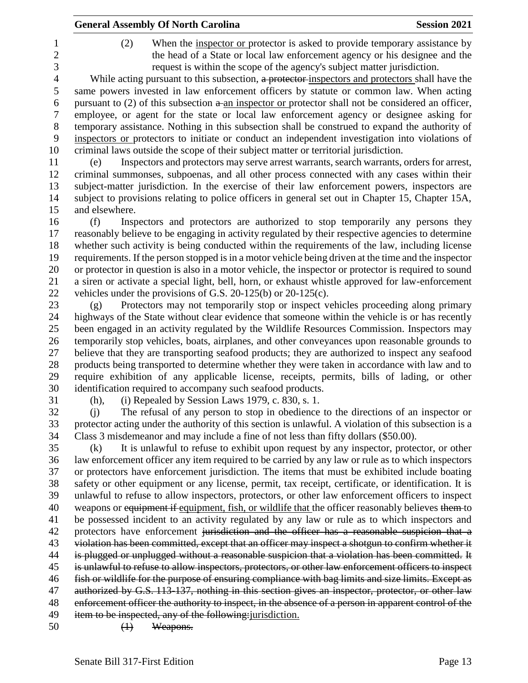|                          | <b>General Assembly Of North Carolina</b>                                                                                                                                                                                                     | <b>Session 2021</b> |
|--------------------------|-----------------------------------------------------------------------------------------------------------------------------------------------------------------------------------------------------------------------------------------------|---------------------|
| 1<br>$\overline{c}$<br>3 | When the inspector or protector is asked to provide temporary assistance by<br>(2)<br>the head of a State or local law enforcement agency or his designee and the<br>request is within the scope of the agency's subject matter jurisdiction. |                     |
| $\overline{4}$           | While acting pursuant to this subsection, a protector-inspectors and protectors shall have the                                                                                                                                                |                     |
| 5                        | same powers invested in law enforcement officers by statute or common law. When acting                                                                                                                                                        |                     |
| 6<br>7                   | pursuant to $(2)$ of this subsection $a$ -an inspector or protector shall not be considered an officer,<br>employee, or agent for the state or local law enforcement agency or designee asking for                                            |                     |
| $8\,$                    | temporary assistance. Nothing in this subsection shall be construed to expand the authority of                                                                                                                                                |                     |
| 9                        | inspectors or protectors to initiate or conduct an independent investigation into violations of                                                                                                                                               |                     |
| 10                       | criminal laws outside the scope of their subject matter or territorial jurisdiction.                                                                                                                                                          |                     |
| 11                       | Inspectors and protectors may serve arrest warrants, search warrants, orders for arrest,<br>(e)                                                                                                                                               |                     |
| 12                       | criminal summonses, subpoenas, and all other process connected with any cases within their                                                                                                                                                    |                     |
| 13                       | subject-matter jurisdiction. In the exercise of their law enforcement powers, inspectors are                                                                                                                                                  |                     |
| 14                       | subject to provisions relating to police officers in general set out in Chapter 15, Chapter 15A,                                                                                                                                              |                     |
| 15                       | and elsewhere.                                                                                                                                                                                                                                |                     |
| 16                       | Inspectors and protectors are authorized to stop temporarily any persons they<br>(f)                                                                                                                                                          |                     |
| 17                       | reasonably believe to be engaging in activity regulated by their respective agencies to determine                                                                                                                                             |                     |
| 18                       | whether such activity is being conducted within the requirements of the law, including license                                                                                                                                                |                     |
| 19<br>20                 | requirements. If the person stopped is in a motor vehicle being driven at the time and the inspector<br>or protector in question is also in a motor vehicle, the inspector or protector is required to sound                                  |                     |
| 21                       | a siren or activate a special light, bell, horn, or exhaust whistle approved for law-enforcement                                                                                                                                              |                     |
| 22                       | vehicles under the provisions of G.S. $20-125(b)$ or $20-125(c)$ .                                                                                                                                                                            |                     |
| 23                       | Protectors may not temporarily stop or inspect vehicles proceeding along primary<br>(g)                                                                                                                                                       |                     |
| 24                       | highways of the State without clear evidence that someone within the vehicle is or has recently                                                                                                                                               |                     |
| 25                       | been engaged in an activity regulated by the Wildlife Resources Commission. Inspectors may                                                                                                                                                    |                     |
| 26                       | temporarily stop vehicles, boats, airplanes, and other conveyances upon reasonable grounds to                                                                                                                                                 |                     |
| 27                       | believe that they are transporting seafood products; they are authorized to inspect any seafood                                                                                                                                               |                     |
| 28                       | products being transported to determine whether they were taken in accordance with law and to                                                                                                                                                 |                     |
| 29                       | require exhibition of any applicable license, receipts, permits, bills of lading, or other                                                                                                                                                    |                     |
| 30                       | identification required to accompany such seafood products.                                                                                                                                                                                   |                     |
| 31<br>32                 | (h), (i) Repealed by Session Laws 1979, c. 830, s. 1.<br>The refusal of any person to stop in obedience to the directions of an inspector or<br>(i)                                                                                           |                     |
| 33                       | protector acting under the authority of this section is unlawful. A violation of this subsection is a                                                                                                                                         |                     |
| 34                       | Class 3 misdemeanor and may include a fine of not less than fifty dollars (\$50.00).                                                                                                                                                          |                     |
| 35                       | It is unlawful to refuse to exhibit upon request by any inspector, protector, or other<br>(k)                                                                                                                                                 |                     |
| 36                       | law enforcement officer any item required to be carried by any law or rule as to which inspectors                                                                                                                                             |                     |
| 37                       | or protectors have enforcement jurisdiction. The items that must be exhibited include boating                                                                                                                                                 |                     |
| 38                       | safety or other equipment or any license, permit, tax receipt, certificate, or identification. It is                                                                                                                                          |                     |
| 39                       | unlawful to refuse to allow inspectors, protectors, or other law enforcement officers to inspect                                                                                                                                              |                     |
| 40                       | weapons or equipment if equipment, fish, or wildlife that the officer reasonably believes them to                                                                                                                                             |                     |
| 41                       | be possessed incident to an activity regulated by any law or rule as to which inspectors and                                                                                                                                                  |                     |
| 42                       | protectors have enforcement jurisdiction and the officer has a reasonable suspicion that a                                                                                                                                                    |                     |
| 43<br>44                 | violation has been committed, except that an officer may inspect a shotgun to confirm whether it<br>is plugged or unplugged without a reasonable suspicion that a violation has been committed. It                                            |                     |
| 45                       | is unlawful to refuse to allow inspectors, protectors, or other law enforcement officers to inspect                                                                                                                                           |                     |
| 46                       | fish or wildlife for the purpose of ensuring compliance with bag limits and size limits. Except as                                                                                                                                            |                     |
| 47                       | authorized by G.S. 113-137, nothing in this section gives an inspector, protector, or other law                                                                                                                                               |                     |
| 48                       | enforcement officer the authority to inspect, in the absence of a person in apparent control of the                                                                                                                                           |                     |
| 49                       | item to be inspected, any of the following: jurisdiction.                                                                                                                                                                                     |                     |
| 50                       | Weapons.<br>$\bigoplus$                                                                                                                                                                                                                       |                     |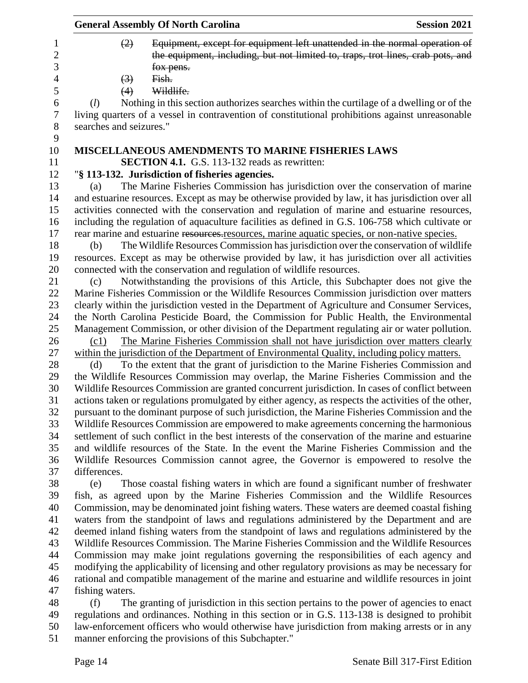|                         | <b>General Assembly Of North Carolina</b>                                                                                                                                                 | <b>Session 2021</b> |
|-------------------------|-------------------------------------------------------------------------------------------------------------------------------------------------------------------------------------------|---------------------|
| (2)                     | Equipment, except for equipment left unattended in the normal operation of<br>the equipment, including, but not limited to, traps, trot lines, crab pots, and                             |                     |
|                         | fox pens.                                                                                                                                                                                 |                     |
| $\left(3\right)$        | Fish.                                                                                                                                                                                     |                     |
| (4)                     | Wildlife.                                                                                                                                                                                 |                     |
| (l)                     | Nothing in this section authorizes searches within the curtilage of a dwelling or of the                                                                                                  |                     |
|                         | living quarters of a vessel in contravention of constitutional prohibitions against unreasonable                                                                                          |                     |
| searches and seizures." |                                                                                                                                                                                           |                     |
|                         |                                                                                                                                                                                           |                     |
|                         | <b>MISCELLANEOUS AMENDMENTS TO MARINE FISHERIES LAWS</b>                                                                                                                                  |                     |
|                         | <b>SECTION 4.1.</b> G.S. 113-132 reads as rewritten:                                                                                                                                      |                     |
|                         | "§ 113-132. Jurisdiction of fisheries agencies.                                                                                                                                           |                     |
| (a)                     | The Marine Fisheries Commission has jurisdiction over the conservation of marine                                                                                                          |                     |
|                         | and estuarine resources. Except as may be otherwise provided by law, it has jurisdiction over all                                                                                         |                     |
|                         | activities connected with the conservation and regulation of marine and estuarine resources,                                                                                              |                     |
|                         | including the regulation of aquaculture facilities as defined in G.S. 106-758 which cultivate or                                                                                          |                     |
|                         | rear marine and estuarine resources resources, marine aquatic species, or non-native species.                                                                                             |                     |
| (b)                     | The Wildlife Resources Commission has jurisdiction over the conservation of wildlife                                                                                                      |                     |
|                         | resources. Except as may be otherwise provided by law, it has jurisdiction over all activities                                                                                            |                     |
|                         | connected with the conservation and regulation of wildlife resources.                                                                                                                     |                     |
| (c)                     | Notwithstanding the provisions of this Article, this Subchapter does not give the                                                                                                         |                     |
|                         | Marine Fisheries Commission or the Wildlife Resources Commission jurisdiction over matters                                                                                                |                     |
|                         | clearly within the jurisdiction vested in the Department of Agriculture and Consumer Services,                                                                                            |                     |
|                         | the North Carolina Pesticide Board, the Commission for Public Health, the Environmental                                                                                                   |                     |
|                         | Management Commission, or other division of the Department regulating air or water pollution.                                                                                             |                     |
| (c1)                    | The Marine Fisheries Commission shall not have jurisdiction over matters clearly                                                                                                          |                     |
|                         | within the jurisdiction of the Department of Environmental Quality, including policy matters.                                                                                             |                     |
| (d)                     | To the extent that the grant of jurisdiction to the Marine Fisheries Commission and                                                                                                       |                     |
|                         | the Wildlife Resources Commission may overlap, the Marine Fisheries Commission and the                                                                                                    |                     |
|                         | Wildlife Resources Commission are granted concurrent jurisdiction. In cases of conflict between                                                                                           |                     |
|                         | actions taken or regulations promulgated by either agency, as respects the activities of the other,                                                                                       |                     |
|                         | pursuant to the dominant purpose of such jurisdiction, the Marine Fisheries Commission and the                                                                                            |                     |
|                         | Wildlife Resources Commission are empowered to make agreements concerning the harmonious                                                                                                  |                     |
|                         | settlement of such conflict in the best interests of the conservation of the marine and estuarine                                                                                         |                     |
|                         | and wildlife resources of the State. In the event the Marine Fisheries Commission and the                                                                                                 |                     |
|                         | Wildlife Resources Commission cannot agree, the Governor is empowered to resolve the                                                                                                      |                     |
| differences.            |                                                                                                                                                                                           |                     |
| (e)                     | Those coastal fishing waters in which are found a significant number of freshwater<br>fish, as agreed upon by the Marine Fisheries Commission and the Wildlife Resources                  |                     |
|                         |                                                                                                                                                                                           |                     |
|                         | Commission, may be denominated joint fishing waters. These waters are deemed coastal fishing<br>waters from the standpoint of laws and regulations administered by the Department and are |                     |
|                         | deemed inland fishing waters from the standpoint of laws and regulations administered by the                                                                                              |                     |
|                         | Wildlife Resources Commission. The Marine Fisheries Commission and the Wildlife Resources                                                                                                 |                     |
|                         | Commission may make joint regulations governing the responsibilities of each agency and                                                                                                   |                     |
|                         | modifying the applicability of licensing and other regulatory provisions as may be necessary for                                                                                          |                     |
|                         | rational and compatible management of the marine and estuarine and wildlife resources in joint                                                                                            |                     |
| fishing waters.         |                                                                                                                                                                                           |                     |
| (f)                     | The granting of jurisdiction in this section pertains to the power of agencies to enact                                                                                                   |                     |
|                         | regulations and ordinances. Nothing in this section or in G.S. 113-138 is designed to prohibit                                                                                            |                     |
|                         |                                                                                                                                                                                           |                     |

law-enforcement officers who would otherwise have jurisdiction from making arrests or in any

manner enforcing the provisions of this Subchapter."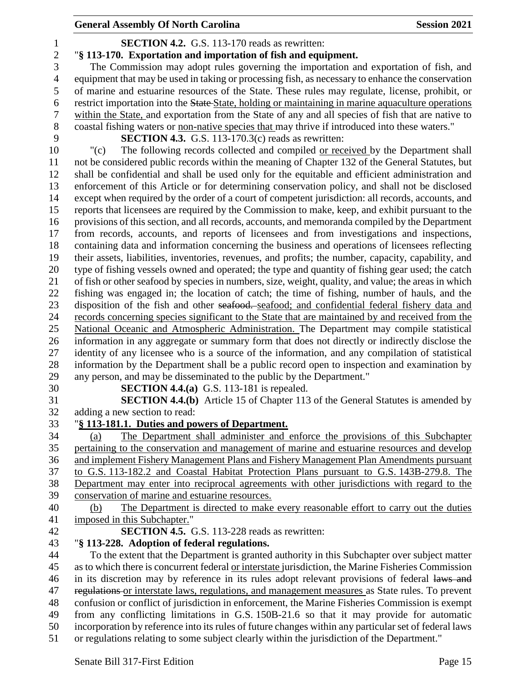| $\mathbf{1}$   | <b>SECTION 4.2.</b> G.S. 113-170 reads as rewritten:                                                                                                                              |
|----------------|-----------------------------------------------------------------------------------------------------------------------------------------------------------------------------------|
| $\overline{c}$ | "§ 113-170. Exportation and importation of fish and equipment.                                                                                                                    |
| $\overline{3}$ | The Commission may adopt rules governing the importation and exportation of fish, and                                                                                             |
| $\overline{4}$ | equipment that may be used in taking or processing fish, as necessary to enhance the conservation                                                                                 |
| 5              | of marine and estuarine resources of the State. These rules may regulate, license, prohibit, or                                                                                   |
| 6              | restrict importation into the State-State, holding or maintaining in marine aquaculture operations                                                                                |
| 7              | within the State, and exportation from the State of any and all species of fish that are native to                                                                                |
| 8              | coastal fishing waters or non-native species that may thrive if introduced into these waters."                                                                                    |
| 9              | <b>SECTION 4.3.</b> G.S. 113-170.3 $(c)$ reads as rewritten:                                                                                                                      |
| 10             | The following records collected and compiled or received by the Department shall<br>"(c)                                                                                          |
| 11             | not be considered public records within the meaning of Chapter 132 of the General Statutes, but                                                                                   |
| 12             | shall be confidential and shall be used only for the equitable and efficient administration and                                                                                   |
| 13             | enforcement of this Article or for determining conservation policy, and shall not be disclosed                                                                                    |
| 14             | except when required by the order of a court of competent jurisdiction: all records, accounts, and                                                                                |
| 15             | reports that licensees are required by the Commission to make, keep, and exhibit pursuant to the                                                                                  |
| 16             | provisions of this section, and all records, accounts, and memoranda compiled by the Department                                                                                   |
| 17             | from records, accounts, and reports of licensees and from investigations and inspections,                                                                                         |
| 18             | containing data and information concerning the business and operations of licensees reflecting                                                                                    |
| 19             | their assets, liabilities, inventories, revenues, and profits; the number, capacity, capability, and                                                                              |
| 20             | type of fishing vessels owned and operated; the type and quantity of fishing gear used; the catch                                                                                 |
| 21             | of fish or other seafood by species in numbers, size, weight, quality, and value; the areas in which                                                                              |
| 22             | fishing was engaged in; the location of catch; the time of fishing, number of hauls, and the                                                                                      |
| 23             | disposition of the fish and other seafood. seafood; and confidential federal fishery data and                                                                                     |
| 24             | records concerning species significant to the State that are maintained by and received from the                                                                                  |
| 25             | National Oceanic and Atmospheric Administration. The Department may compile statistical                                                                                           |
| 26             | information in any aggregate or summary form that does not directly or indirectly disclose the                                                                                    |
| 27             | identity of any licensee who is a source of the information, and any compilation of statistical                                                                                   |
| 28             | information by the Department shall be a public record open to inspection and examination by                                                                                      |
| 29             | any person, and may be disseminated to the public by the Department."                                                                                                             |
| 30             | <b>SECTION 4.4.(a)</b> G.S. 113-181 is repealed.                                                                                                                                  |
| 31             | <b>SECTION 4.4.(b)</b> Article 15 of Chapter 113 of the General Statutes is amended by                                                                                            |
| 32             | adding a new section to read:                                                                                                                                                     |
| 33             | § 113-181.1. Duties and powers of Department.                                                                                                                                     |
| 34             | The Department shall administer and enforce the provisions of this Subchapter<br>(a)                                                                                              |
| 35             | pertaining to the conservation and management of marine and estuarine resources and develop                                                                                       |
| 36<br>37       | and implement Fishery Management Plans and Fishery Management Plan Amendments pursuant<br>to G.S. 113-182.2 and Coastal Habitat Protection Plans pursuant to G.S. 143B-279.8. The |
| 38             | Department may enter into reciprocal agreements with other jurisdictions with regard to the                                                                                       |
| 39             | conservation of marine and estuarine resources.                                                                                                                                   |
| 40             | The Department is directed to make every reasonable effort to carry out the duties<br>(b)                                                                                         |
| 41             | imposed in this Subchapter."                                                                                                                                                      |
| 42             | SECTION 4.5. G.S. 113-228 reads as rewritten:                                                                                                                                     |
| 43             | "§ 113-228. Adoption of federal regulations.                                                                                                                                      |
| 44             | To the extent that the Department is granted authority in this Subchapter over subject matter                                                                                     |
| 45             | as to which there is concurrent federal or interstate jurisdiction, the Marine Fisheries Commission                                                                               |
| 46             | in its discretion may by reference in its rules adopt relevant provisions of federal laws and                                                                                     |
| 47             | regulations or interstate laws, regulations, and management measures as State rules. To prevent                                                                                   |
| 48             | confusion or conflict of jurisdiction in enforcement, the Marine Fisheries Commission is exempt                                                                                   |
| 49             | from any conflicting limitations in G.S. 150B-21.6 so that it may provide for automatic                                                                                           |
| 50             | incorporation by reference into its rules of future changes within any particular set of federal laws                                                                             |
|                |                                                                                                                                                                                   |

or regulations relating to some subject clearly within the jurisdiction of the Department."